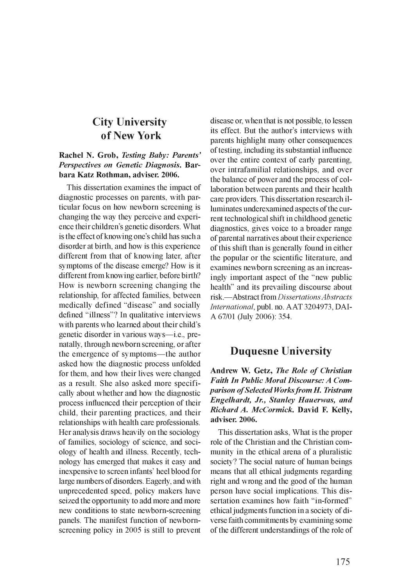### **City University of New York**

#### **Rachel N. Grob, Testing Baby: Parents' Perspectives on Genetic Diagnosis. Barbara Katz Rothman, adviser. 2006.**

This dissertation examines the impact of diagnostic processes on parents, with particular focus on how newborn screening is changing the way they perceive and experience their children's genetic disorders. What is the effect of knowing one's child has such a disorder at birth, and how is this experience different from that of knowing later, after symptoms of the disease emerge? How is it different from knowing earlier, before birth? How is newborn screening changing the relationship, for affected families, between medically defined "disease" and socially defined "illness"? In qualitative interviews with parents who learned about their child's genetic disorder in various ways—i.e., prenatally, through newborn screening, or after the emergence of symptoms—the author asked how the diagnostic process unfolded for them, and how their lives were changed as a result. She also asked more specifically about whether and how the diagnostic process influenced their perception of their child, their parenting practices, and their relationships with health care professionals. Her analysis draws heavily on the sociology of families, sociology of science, and sociology of health and illness. Recently, technology has emerged that makes it easy and inexpensive to screen infants' heel blood for large numbers of disorders. Eagerly, and with unprecedented speed, policy makers have seized the opportunity to add more and more new conditions to state newborn-screening panels. The manifest function of newbornscreening policy in 2005 is still to prevent disease or, when that is not possible, to lessen its effect. But the author's interviews with parents highlight many other consequences of testing, including its substantial influence over the entire context of early parenting, over intrafamilial relationships, and over the balance of power and the process of collaboration between parents and their health care providers. This dissertation research illuminates underexamined aspects of the current technological shift in childhood genetic diagnostics, gives voice to a broader range of parental narratives about their experience of this shift than is generally found in either the popular or the scientific literature, and examines newborn screening as an increasingly important aspect of the "new public health" and its prevailing discourse about risk.—Abstract from *Dissertations Abstracts International,* publ. no. AAT 3204973, DAI-A 67/01 (July 2006): 354.

### **Duquesne University**

Andrew W. Getz, *The Role of Christian* **Faith In Public Moral Discourse: A Com***parison of Selected Works from H. Tristram Engelhardt, Jr., Stanley Hauerwas, and R ich ard A . M cC orm ick***. David F. Kelly, adviser. 2006.**

This dissertation asks, What is the proper role of the Christian and the Christian community in the ethical arena of a pluralistic society? The social nature of human beings means that all ethical judgments regarding right and wrong and the good of the human person have social implications. This dissertation examines how faith "in-formed" ethical judgments function in a society of diverse faith commitments by examining some of the different understandings of the role of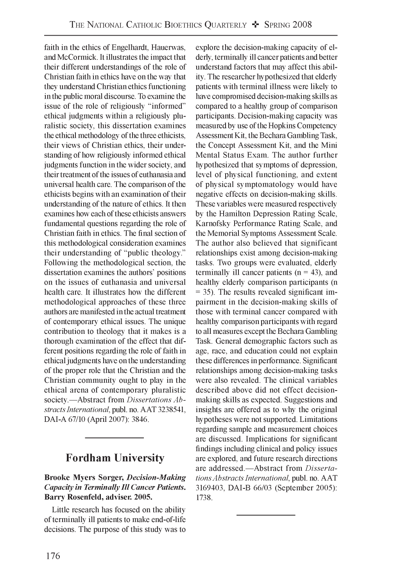faith in the ethics of Engelhardt, Hauerwas, and McCormick. It illustrates the impact that their different understandings of the role of Christian faith in ethics have on the way that they understand Christian ethics functioning in the public moral discourse. To examine the issue of the role of religiously "informed" ethical judgments within a religiously pluralistic society, this dissertation examines the ethical methodology of the three ethicists, their views of Christian ethics, their understanding of how religiously informed ethical judgments function in the wider society, and their treatment of the issues of euthanasia and universal health care. The comparison of the ethicists begins with an examination of their understanding of the nature of ethics. It then examines how each of these ethicists answers fundamental questions regarding the role of Christian faith in ethics. The final section of this methodological consideration examines their understanding of "public theology." Following the methodological section, the dissertation examines the authors' positions on the issues of euthanasia and universal health care. It illustrates how the different methodological approaches of these three authors are manifested in the actual treatment of contemporary ethical issues. The unique contribution to theology that it makes is a thorough examination of the effect that different positions regarding the role of faith in ethical judgments have on the understanding of the proper role that the Christian and the Christian community ought to play in the ethical arena of contemporary pluralistic society.—Abstract from *Dissertations Abstracts International,* publ. no. AAT 3238541, DAI-A 67/10 (April 2007): 3846.

## **Fordham University**

#### **Brooke Myers Sorger,** *D ecision-M aking Capacity in Terminally III Cancer Patients.* **Barry Rosenfeld, adviser. 2005.**

Little research has focused on the ability of terminally ill patients to make end-of-life decisions. The purpose of this study was to explore the decision-making capacity of elderly, terminally ill cancer patients and better understand factors that may affect this ability. The researcher hypothesized that elderly patients with terminal illness were likely to have compromised decision-making skills as compared to a healthy group of comparison participants. Decision-making capacity was measured by use of the Hopkins Competency Assessment Kit, the Bechara Gambling Task, the Concept Assessment Kit, and the Mini Mental Status Exam. The author further hypothesized that symptoms of depression, level of physical functioning, and extent of physical symptomatology would have negative effects on decision-making skills. These variables were measured respectively by the Hamilton Depression Rating Scale, Karnofsky Performance Rating Scale, and the Memorial Symptoms Assessment Scale. The author also believed that significant relationships exist among decision-making tasks. Two groups were evaluated, elderly terminally ill cancer patients  $(n = 43)$ , and healthy elderly comparison participants (n = 35). The results revealed significant impairment in the decision-making skills of those with terminal cancer compared with healthy comparison participants with regard to all measures except the Bechara Gambling Task. General demographic factors such as age, race, and education could not explain these differences in performance. Significant relationships among decision-making tasks were also revealed. The clinical variables described above did not effect decisionmaking skills as expected. Suggestions and insights are offered as to why the original hypotheses were not supported. Limitations regarding sample and measurement choices are discussed. Implications for significant findings including clinical and policy issues are explored, and future research directions are addressed.—Abstract from *Dissertations Abstracts International,* publ. no. AAT 3169403, DAI-B 66/03 (September 2005): 1738.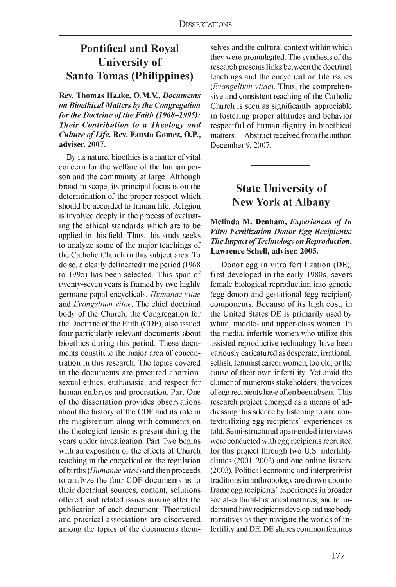## **Pontifical and Royal University of Santo Tomas (Philippines)**

Rev. Thomas Haake, O.M.V., *Documents* **on Bioethical Matters by the Congregation** *for the Doctrine of the Faith (1968-1995): Their Contribution to a Theology and Culture of Life.* Rev. Fausto Gomez, O.P., **adviser. 2007.**

By its nature, bioethics is a matter of vital concern for the welfare of the human person and the community at large. Although broad in scope, its principal focus is on the determination of the proper respect which should be accorded to human life. Religion is involved deeply in the process of evaluating the ethical standards which are to be applied in this field. Thus, this study seeks to analyze some of the major teachings of the Catholic Church in this subject area. To do so, a clearly delineated time period (1968 to 1995) has been selected. This span of twenty-seven years is framed by two highly germane papal encyclicals, *Humanae vitae* and *Evangelium vitae.* The chief doctrinal body of the Church, the Congregation for the Doctrine of the Faith (CDF), also issued four particularly relevant documents about bioethics during this period. These documents constitute the major area of concentration in this research. The topics covered in the documents are procured abortion, sexual ethics, euthanasia, and respect for human embryos and procreation. Part One of the dissertation provides observations about the history of the CDF and its role in the magisterium along with comments on the theological tensions present during the years under investigation. Part Two begins with an exposition of the effects of Church teaching in the encyclical on the regulation of births *(Humanae vitae)* and then proceeds to analyze the four CDF documents as to their doctrinal sources, content, solutions offered, and related issues arising after the publication of each document. Theoretical and practical associations are discovered among the topics of the documents themselves and the cultural context within which they were promulgated. The synthesis of the research presents links between the doctrinal teachings and the encyclical on life issues *(Evangelium vitae).* Thus, the comprehensive and consistent teaching of the Catholic Church is seen as significantly appreciable in fostering proper attitudes and behavior respectful of human dignity in bioethical matters.—Abstract received from the author, December 9, 2007.

### **State University of New York at Albany**

#### **Melinda M. Denham,** *Experiences of In* **Vitro Fertilization Donor Egg Recipients:** *The Impact of Technology on Reproduction.* **Lawrence Schell, adviser. 2005.**

Donor egg in vitro fertilization (DE), first developed in the early 1980s, severs female biological reproduction into genetic (egg donor) and gestational (egg recipient) components. Because of its high cost, in the United States DE is primarily used by white, middle- and upper-class women. In the media, infertile women who utilize this assisted reproductive technology have been variously caricatured as desperate, irrational, selfish, feminist career women, too old, or the cause of their own infertility. Yet amid the clamor of numerous stakeholders, the voices of egg recipients have often been absent. This research project emerged as a means of addressing this silence by listening to and contextualizing egg recipients' experiences as told. Semi-structured open-ended interviews were conducted with egg recipients recruited for this project through two U.S. infertility clinics (2001-2002) and one online listserv (2003). Political economic and interpretivist traditions in anthropology are drawn upon to frame egg recipients' experiences in broader social-cultural-historical matrices, and to understand how recipients develop and use body narratives as they navigate the worlds of infertility and DE. DE shares common features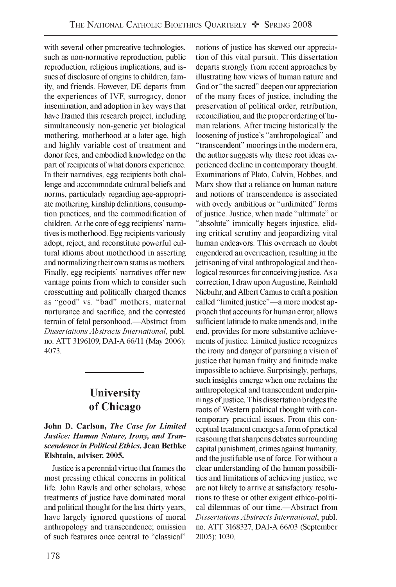with several other procreative technologies, such as non-normative reproduction, public reproduction, religious implications, and issues of disclosure of origins to children, family, and friends. However, DE departs from the experiences of IVF, surrogacy, donor insemination, and adoption in key ways that have framed this research project, including simultaneously non-genetic yet biological mothering, motherhood at a later age, high and highly variable cost of treatment and donor fees, and embodied knowledge on the part of recipients of what donors experience. In their narratives, egg recipients both challenge and accommodate cultural beliefs and norms, particularly regarding age-appropriate mothering, kinship definitions, consumption practices, and the commodification of children. At the core of egg recipients' narratives is motherhood. Egg recipients variously adopt, reject, and reconstitute powerful cultural idioms about motherhood in asserting and normalizing their own status as mothers. Finally, egg recipients' narratives offer new vantage points from which to consider such crosscutting and politically charged themes as "good" vs. "bad" mothers, maternal nurturance and sacrifice, and the contested terrain of fetal personhood.—Abstract from *Dissertations Abstracts International,* publ. no. ATT 3196109, DAI-A 66/11 (May 2006): 4073.

## **University of Chicago**

John D. Carlson, *The Case for Limited Justice: Human Nature, Irony, and Transcendence in P olitical Ethics.* **Jean Bethke Elshtain, adviser. 2005.**

Justice is a perennial virtue that frames the most pressing ethical concerns in political life. John Rawls and other scholars, whose treatments of justice have dominated moral and political thought for the last thirty years, have largely ignored questions of moral anthropology and transcendence; omission of such features once central to "classical"

notions of justice has skewed our appreciation of this vital pursuit. This dissertation departs strongly from recent approaches by illustrating how views of human nature and God or "the sacred" deepen our appreciation of the many faces of justice, including the preservation of political order, retribution, reconciliation, and the proper ordering of human relations. After tracing historically the loosening of justice's "anthropological" and "transcendent" moorings in the modern era, the author suggests why these root ideas experienced decline in contemporary thought. Examinations of Plato, Calvin, Hobbes, and Marx show that a reliance on human nature and notions of transcendence is associated with overly ambitious or "unlimited" forms of justice. Justice, when made "ultimate" or "absolute" ironically begets injustice, eliding critical scrutiny and jeopardizing vital human endeavors. This overreach no doubt engendered an overreaction, resulting in the jettisoning of vital anthropological and theological resources for conceiving justice. As a correction, I draw upon Augustine, Reinhold Niebuhr, and Albert Camus to craft a position called "limited justice"—a more modest approach that accounts for human error, allows sufficient latitude to make amends and, in the end, provides for more substantive achievements of justice. Limited justice recognizes the irony and danger of pursuing a vision of justice that human frailty and finitude make impossible to achieve. Surprisingly, perhaps, such insights emerge when one reclaims the anthropological and transcendent underpinnings of justice. This dissertation bridges the roots of Western political thought with contemporary practical issues. From this conceptual treatment emerges a form of practical reasoning that sharpens debates surrounding capital punishment, crimes against humanity, and the justifiable use of force. For without a clear understanding of the human possibilities and limitations of achieving justice, we are not likely to arrive at satisfactory resolutions to these or other exigent ethico-political dilemmas of our time.—Abstract from *Dissertations Abstracts International,* publ. no. ATT 3168327, DAI-A 66/03 (September 2005): 1030.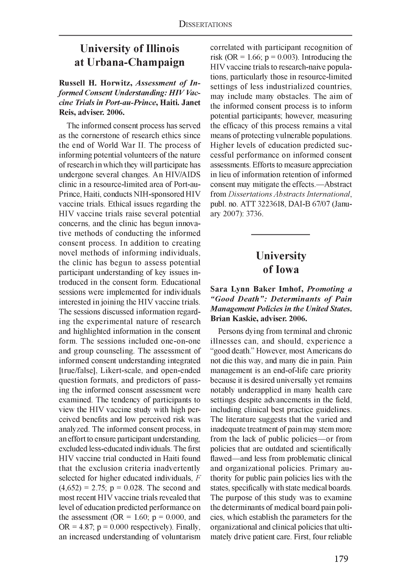### **University of Illinois at Urbana-Champaign**

**Russell H. Horwitz, Assessment of In**formed Consent Understanding: **HIV Vac***cine Trials in Port-au-Prince,* **Haiti. Janet Reis, adviser. 2006.**

The informed consent process has served as the cornerstone of research ethics since the end of World War II. The process of informing potential volunteers of the nature of research in which they will participate has undergone several changes. An HIV/AIDS clinic in a resource-limited area of Port-au-Prince, Haiti, conducts NIH-sponsored HIV vaccine trials. Ethical issues regarding the HIV vaccine trials raise several potential concerns, and the clinic has begun innovative methods of conducting the informed consent process. In addition to creating novel methods of informing individuals, the clinic has begun to assess potential participant understanding of key issues introduced in the consent form. Educational sessions were implemented for individuals interested in joining the HIV vaccine trials. The sessions discussed information regarding the experimental nature of research and highlighted information in the consent form. The sessions included one-on-one and group counseling. The assessment of informed consent understanding integrated [true/false], Likert-scale, and open-ended question formats, and predictors of passing the informed consent assessment were examined. The tendency of participants to view the HIV vaccine study with high perceived benefits and low perceived risk was analyzed. The informed consent process, in an effort to ensure participant understanding, excluded less-educated individuals. The first HIV vaccine trial conducted in Haiti found that the exclusion criteria inadvertently selected for higher educated individuals, *F*  $(4,652) = 2.75$ ;  $p = 0.028$ . The second and most recent HIV vaccine trials revealed that level of education predicted performance on the assessment (OR =  $1.60$ ;  $p = 0.000$ , and OR = 4.87;  $p = 0.000$  respectively). Finally, an increased understanding of voluntarism correlated with participant recognition of risk (OR = 1.66;  $p = 0.003$ ). Introducing the HIV vaccine trials to research-naive populations, particularly those in resource-limited settings of less industrialized countries, may include many obstacles. The aim of the informed consent process is to inform potential participants; however, measuring the efficacy of this process remains a vital means of protecting vulnerable populations. Higher levels of education predicted successful performance on informed consent assessments. Efforts to measure appreciation in lieu of information retention of informed consent may mitigate the effects.—Abstract from *Dissertations Abstracts International,* publ. no. ATT 3223618, DAI-B 67/07 (January 2007): 3736.

### **University of Iowa**

#### Sara Lynn Baker Imhof, *Promoting a "G ood D e a th ": D e te rm in a n ts o f P ain M anagem ent Policies in the U nited States***. Brian Kaskie, adviser. 2006.**

Persons dying from terminal and chronic illnesses can, and should, experience a "good death." However, most Americans do not die this way, and many die in pain. Pain management is an end-of-life care priority because it is desired universally yet remains notably underapplied in many health care settings despite advancements in the field, including clinical best practice guidelines. The literature suggests that the varied and inadequate treatment of pain may stem more from the lack of public policies— or from policies that are outdated and scientifically flawed—and less from problematic clinical and organizational policies. Primary authority for public pain policies lies with the states, specifically with state medical boards. The purpose of this study was to examine the determinants of medical board pain policies, which establish the parameters for the organizational and clinical policies that ultimately drive patient care. First, four reliable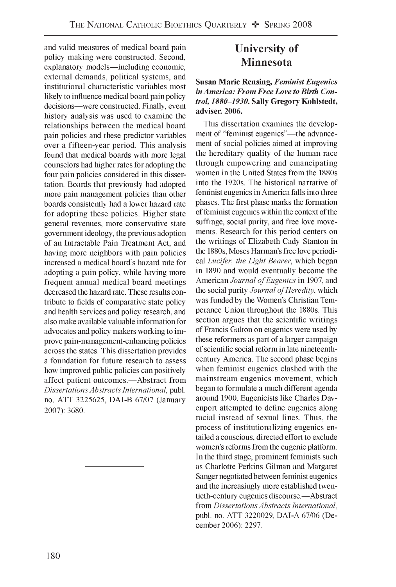and valid measures of medical board pain policy making were constructed. Second, explanatory models—including economic, external demands, political systems, and institutional characteristic variables most likely to influence medical board pain policy decisions—were constructed. Finally, event history analysis was used to examine the relationships between the medical board pain policies and these predictor variables over a fifteen-year period. This analysis found that medical boards with more legal counselors had higher rates for adopting the four pain policies considered in this dissertation. Boards that previously had adopted more pain management policies than other boards consistently had a lower hazard rate for adopting these policies. Higher state general revenues, more conservative state government ideology, the previous adoption of an Intractable Pain Treatment Act, and having more neighbors with pain policies increased a medical board's hazard rate for adopting a pain policy, while having more frequent annual medical board meetings decreased the hazard rate. These results contribute to fields of comparative state policy and health services and policy research, and also make available valuable information for advocates and policy makers working to improve pain-management-enhancing policies across the states. This dissertation provides a foundation for future research to assess how improved public policies can positively affect patient outcomes.—Abstract from *Dissertations Abstracts International,* publ. no. ATT 3225625, DAI-B 67/07 (January 2007): 3680.

## **University of Minnesota**

#### **Susan Marie Rensing, Feminist Eugenics** in America: From Free Love to Birth Con*trol, 1880-1930.* **Sally Gregory Kohlstedt, adviser. 2006.**

This dissertation examines the development of "feminist eugenics"—the advancement of social policies aimed at improving the hereditary quality of the human race through empowering and emancipating women in the United States from the 1880s into the 1920s. The historical narrative of feminist eugenics in America falls into three phases. The first phase marks the formation of feminist eugenics within the context of the suffrage, social purity, and free love movements. Research for this period centers on the writings of Elizabeth Cady Stanton in the 1880s, Moses Harman's free love periodical *Lucifer, the Light Bearer,* which began in 1890 and would eventually become the American *Journal of Eugenics* in 1907, and the social purity *Journal of Heredity*, which was funded by the Women's Christian Temperance Union throughout the 1880s. This section argues that the scientific writings of Francis Galton on eugenics were used by these reformers as part of a larger campaign of scientific social reform in late nineteenthcentury America. The second phase begins when feminist eugenics clashed with the mainstream eugenics movement, which began to formulate a much different agenda around 1900. Eugenicists like Charles Davenport attempted to define eugenics along racial instead of sexual lines. Thus, the process of institutionalizing eugenics entailed a conscious, directed effort to exclude women's reforms from the eugenic platform. In the third stage, prominent feminists such as Charlotte Perkins Gilman and Margaret Sanger negotiated between feminist eugenics and the increasingly more established twentieth-century eugenics discourse.—Abstract from *Dissertations Abstracts International*, publ. no. ATT 3220029, DAI-A 67/06 (December 2006): 2297.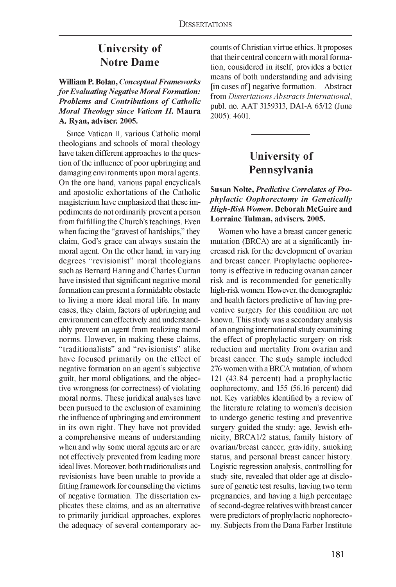### **University of Notre Dame**

**William P. Bolan,** *Conceptual Fram eworks for Evaluating Negative Moral Formation:* **Problems and Contributions of Catholic** *M oral Theology since Vatican II.* **Maura A. Ryan, adviser. 2005.**

Since Vatican II, various Catholic moral theologians and schools of moral theology have taken different approaches to the question of the influence of poor upbringing and damaging environments upon moral agents. On the one hand, various papal encyclicals and apostolic exhortations of the Catholic magisterium have emphasized that these impediments do not ordinarily prevent a person from fulfilling the Church's teachings. Even when facing the "gravest of hardships," they claim, God's grace can always sustain the moral agent. On the other hand, in varying degrees "revisionist" moral theologians such as Bernard Haring and Charles Curran have insisted that significant negative moral formation can present a formidable obstacle to living a more ideal moral life. In many cases, they claim, factors of upbringing and environment can effectively and understandably prevent an agent from realizing moral norms. However, in making these claims, "traditionalists" and "revisionists" alike have focused primarily on the effect of negative formation on an agent's subjective guilt, her moral obligations, and the objective wrongness (or correctness) of violating moral norms. These juridical analyses have been pursued to the exclusion of examining the influence of upbringing and environment in its own right. They have not provided a comprehensive means of understanding when and why some moral agents are or are not effectively prevented from leading more ideal lives. Moreover, both traditionalists and revisionists have been unable to provide a fitting framework for counseling the victims of negative formation. The dissertation explicates these claims, and as an alternative to primarily juridical approaches, explores the adequacy of several contemporary accounts of Christian virtue ethics. It proposes that their central concern with moral formation, considered in itself, provides a better means of both understanding and advising [in cases of] negative formation.—Abstract from *Dissertations Abstracts International,* publ. no. AAT 3159313, DAI-A 65/12 (June 2005): 4601.

## **University of Pennsylvania**

#### Susan Nolte, *Predictive Correlates of Prophylactic Oophorectomy in Genetically High-Risk Women.* Deborah McGuire and **Lorraine Tulman, advisers. 2005.**

Women who have a breast cancer genetic mutation (BRCA) are at a significantly increased risk for the development of ovarian and breast cancer. Prophylactic oophorectomy is effective in reducing ovarian cancer risk and is recommended for genetically high-risk women. However, the demographic and health factors predictive of having preventive surgery for this condition are not known. This study was a secondary analysis of an ongoing international study examining the effect of prophylactic surgery on risk reduction and mortality from ovarian and breast cancer. The study sample included 276 women with a BRCA mutation, of whom 121 (43.84 percent) had a prophylactic oophorectomy, and 155 (56.16 percent) did not. Key variables identified by a review of the literature relating to women's decision to undergo genetic testing and preventive surgery guided the study: age, Jewish ethnicity, BRCA1/2 status, family history of ovarian/breast cancer, gravidity, smoking status, and personal breast cancer history. Logistic regression analysis, controlling for study site, revealed that older age at disclosure of genetic test results, having two term pregnancies, and having a high percentage of second-degree relatives with breast cancer were predictors of prophylactic oophorectomy. Subjects from the Dana Farber Institute